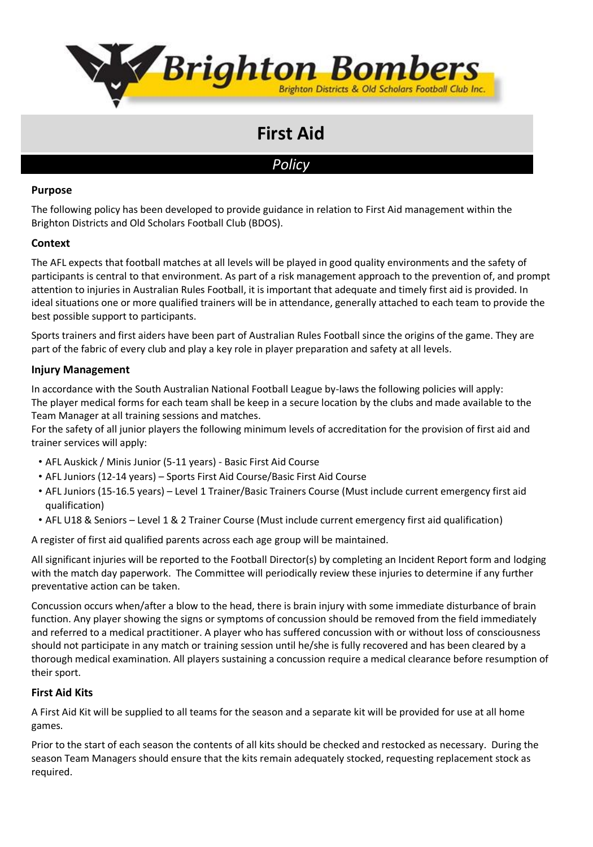

# **First Aid**

# *Policy*

#### **Purpose**

The following policy has been developed to provide guidance in relation to First Aid management within the Brighton Districts and Old Scholars Football Club (BDOS).

## **Context**

The AFL expects that football matches at all levels will be played in good quality environments and the safety of participants is central to that environment. As part of a risk management approach to the prevention of, and prompt attention to injuries in Australian Rules Football, it is important that adequate and timely first aid is provided. In ideal situations one or more qualified trainers will be in attendance, generally attached to each team to provide the best possible support to participants.

Sports trainers and first aiders have been part of Australian Rules Football since the origins of the game. They are part of the fabric of every club and play a key role in player preparation and safety at all levels.

#### **Injury Management**

In accordance with the South Australian National Football League by-laws the following policies will apply: The player medical forms for each team shall be keep in a secure location by the clubs and made available to the Team Manager at all training sessions and matches.

For the safety of all junior players the following minimum levels of accreditation for the provision of first aid and trainer services will apply:

- AFL Auskick / Minis Junior (5-11 years) Basic First Aid Course
- AFL Juniors (12-14 years) Sports First Aid Course/Basic First Aid Course
- AFL Juniors (15-16.5 years) Level 1 Trainer/Basic Trainers Course (Must include current emergency first aid qualification)
- AFL U18 & Seniors Level 1 & 2 Trainer Course (Must include current emergency first aid qualification)

A register of first aid qualified parents across each age group will be maintained.

All significant injuries will be reported to the Football Director(s) by completing an Incident Report form and lodging with the match day paperwork. The Committee will periodically review these injuries to determine if any further preventative action can be taken.

Concussion occurs when/after a blow to the head, there is brain injury with some immediate disturbance of brain function. Any player showing the signs or symptoms of concussion should be removed from the field immediately and referred to a medical practitioner. A player who has suffered concussion with or without loss of consciousness should not participate in any match or training session until he/she is fully recovered and has been cleared by a thorough medical examination. All players sustaining a concussion require a medical clearance before resumption of their sport.

#### **First Aid Kits**

A First Aid Kit will be supplied to all teams for the season and a separate kit will be provided for use at all home games.

Prior to the start of each season the contents of all kits should be checked and restocked as necessary. During the season Team Managers should ensure that the kits remain adequately stocked, requesting replacement stock as required.